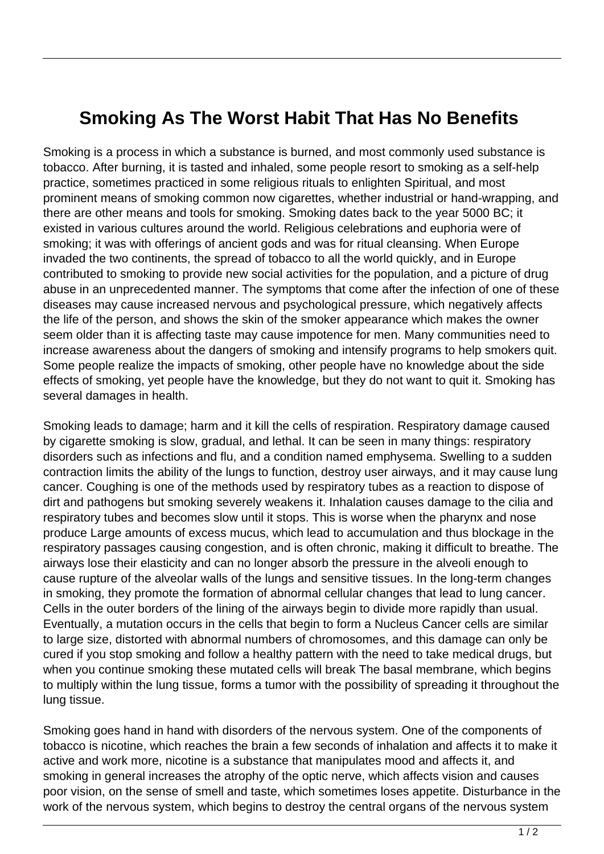## **Smoking As The Worst Habit That Has No Benefits**

Smoking is a process in which a substance is burned, and most commonly used substance is tobacco. After burning, it is tasted and inhaled, some people resort to smoking as a self-help practice, sometimes practiced in some religious rituals to enlighten Spiritual, and most prominent means of smoking common now cigarettes, whether industrial or hand-wrapping, and there are other means and tools for smoking. Smoking dates back to the year 5000 BC; it existed in various cultures around the world. Religious celebrations and euphoria were of smoking; it was with offerings of ancient gods and was for ritual cleansing. When Europe invaded the two continents, the spread of tobacco to all the world quickly, and in Europe contributed to smoking to provide new social activities for the population, and a picture of drug abuse in an unprecedented manner. The symptoms that come after the infection of one of these diseases may cause increased nervous and psychological pressure, which negatively affects the life of the person, and shows the skin of the smoker appearance which makes the owner seem older than it is affecting taste may cause impotence for men. Many communities need to increase awareness about the dangers of smoking and intensify programs to help smokers quit. Some people realize the impacts of smoking, other people have no knowledge about the side effects of smoking, yet people have the knowledge, but they do not want to quit it. Smoking has several damages in health.

Smoking leads to damage; harm and it kill the cells of respiration. Respiratory damage caused by cigarette smoking is slow, gradual, and lethal. It can be seen in many things: respiratory disorders such as infections and flu, and a condition named emphysema. Swelling to a sudden contraction limits the ability of the lungs to function, destroy user airways, and it may cause lung cancer. Coughing is one of the methods used by respiratory tubes as a reaction to dispose of dirt and pathogens but smoking severely weakens it. Inhalation causes damage to the cilia and respiratory tubes and becomes slow until it stops. This is worse when the pharynx and nose produce Large amounts of excess mucus, which lead to accumulation and thus blockage in the respiratory passages causing congestion, and is often chronic, making it difficult to breathe. The airways lose their elasticity and can no longer absorb the pressure in the alveoli enough to cause rupture of the alveolar walls of the lungs and sensitive tissues. In the long-term changes in smoking, they promote the formation of abnormal cellular changes that lead to lung cancer. Cells in the outer borders of the lining of the airways begin to divide more rapidly than usual. Eventually, a mutation occurs in the cells that begin to form a Nucleus Cancer cells are similar to large size, distorted with abnormal numbers of chromosomes, and this damage can only be cured if you stop smoking and follow a healthy pattern with the need to take medical drugs, but when you continue smoking these mutated cells will break The basal membrane, which begins to multiply within the lung tissue, forms a tumor with the possibility of spreading it throughout the lung tissue.

Smoking goes hand in hand with disorders of the nervous system. One of the components of tobacco is nicotine, which reaches the brain a few seconds of inhalation and affects it to make it active and work more, nicotine is a substance that manipulates mood and affects it, and smoking in general increases the atrophy of the optic nerve, which affects vision and causes poor vision, on the sense of smell and taste, which sometimes loses appetite. Disturbance in the work of the nervous system, which begins to destroy the central organs of the nervous system